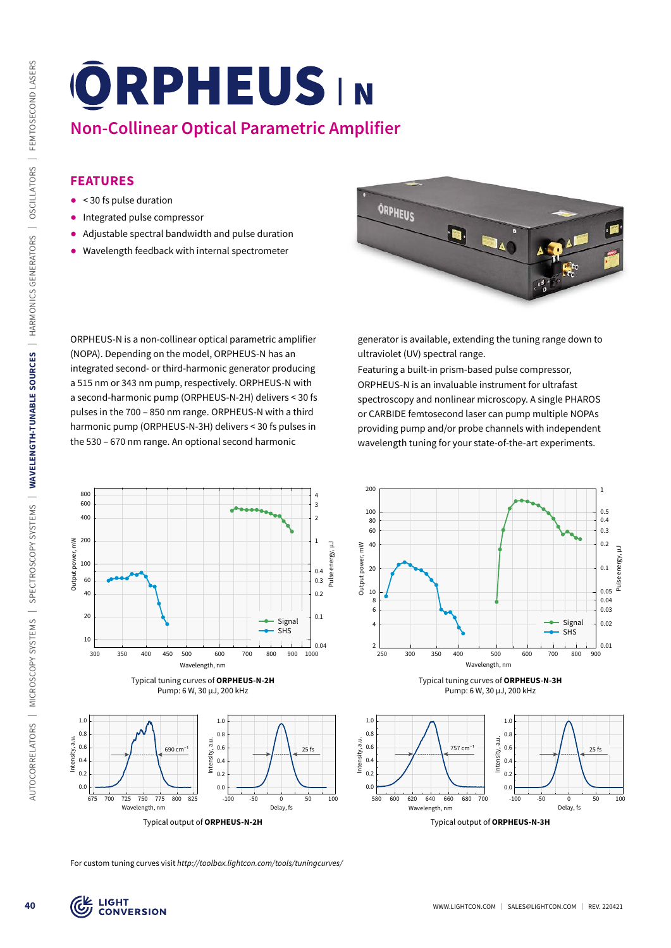# **Non-Collinear Optical Parametric Amplifier**

## **FEATURES**

- ᰋ < 30 fs pulse duration
- ᰋ Integrated pulse compressor
- ᰋ Adjustable spectral bandwidth and pulse duration
- ᰋ Wavelength feedback with internal spectrometer

ORPHEUS-N is a non-collinear optical parametric amplifier (NOPA). Depending on the model, ORPHEUS-N has an integrated second- or third-harmonic generator producing a 515 nm or 343 nm pump, respectively. ORPHEUS-N with a second-harmonic pump (ORPHEUS-N-2H) delivers < 30 fs pulses in the 700 – 850 nm range. ORPHEUS-N with a third harmonic pump (ORPHEUS-N-3H) delivers < 30 fs pulses in the 530 – 670 nm range. An optional second harmonic



generator is available, extending the tuning range down to ultraviolet (UV) spectral range.

Featuring a built-in prism-based pulse compressor, ORPHEUS-N is an invaluable instrument for ultrafast spectroscopy and nonlinear microscopy. A single PHAROS or CARBIDE femtosecond laser can pump multiple NOPAs providing pump and/or probe channels with independent wavelength tuning for your state-of-the-art experiments.



Pump: 6 W, 30 µJ, 200 kHz

0.04 0.05 Pulse energy, µJ

0.03 0.02

0.5



For custom tuning curves visit *http://toolbox.lightcon.com/tools/tuningcurves/*

Delay, fs -100 -50 0 50 100

Signal SHS

 $25$ fs

Typical tuning curves of **ORPHEUS-N-2H** Pump: 6 W, 30 µJ, 200 kHz

Wavelength, nm 300 350 400 450 500 600 700 800 900 1000

200 1

400 2 600 3 800 **4** 4 4

Intensity, a.u.

 $0<sup>0</sup>$  $0.2$ 0.4 0.6  $0.8$ 1.0

690 cm−1

Wavelength, nm

675 700 725 750 775 800 825

Intensity, a.u.

 $0.0$  $\theta$  $0.4$  $0.6$  $0.8$  $1.0$ 

100

Output power, mW